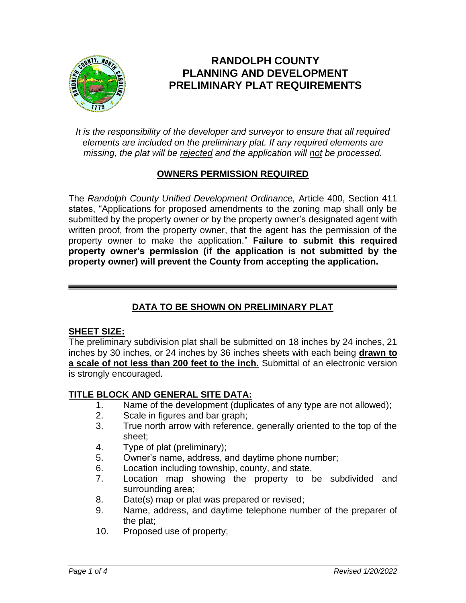

# **RANDOLPH COUNTY PLANNING AND DEVELOPMENT PRELIMINARY PLAT REQUIREMENTS**

*It is the responsibility of the developer and surveyor to ensure that all required elements are included on the preliminary plat. If any required elements are missing, the plat will be rejected and the application will not be processed.*

# **OWNERS PERMISSION REQUIRED**

The *Randolph County Unified Development Ordinance,* Article 400, Section 411 states, "Applications for proposed amendments to the zoning map shall only be submitted by the property owner or by the property owner's designated agent with written proof, from the property owner, that the agent has the permission of the property owner to make the application." **Failure to submit this required property owner's permission (if the application is not submitted by the property owner) will prevent the County from accepting the application.**

# **DATA TO BE SHOWN ON PRELIMINARY PLAT**

# **SHEET SIZE:**

The preliminary subdivision plat shall be submitted on 18 inches by 24 inches, 21 inches by 30 inches, or 24 inches by 36 inches sheets with each being **drawn to a scale of not less than 200 feet to the inch.** Submittal of an electronic version is strongly encouraged.

# **TITLE BLOCK AND GENERAL SITE DATA:**

- 1. Name of the development (duplicates of any type are not allowed);
- 2. Scale in figures and bar graph;
- 3. True north arrow with reference, generally oriented to the top of the sheet;
- 4. Type of plat (preliminary);
- 5. Owner's name, address, and daytime phone number;
- 6. Location including township, county, and state,
- 7. Location map showing the property to be subdivided and surrounding area;
- 8. Date(s) map or plat was prepared or revised;
- 9. Name, address, and daytime telephone number of the preparer of the plat;
- 10. Proposed use of property;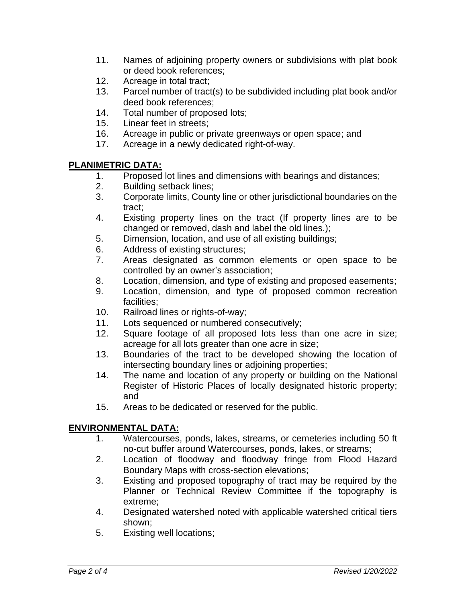- 11. Names of adjoining property owners or subdivisions with plat book or deed book references;
- 12. Acreage in total tract;
- 13. Parcel number of tract(s) to be subdivided including plat book and/or deed book references;
- 14. Total number of proposed lots;
- 15. Linear feet in streets;
- 16. Acreage in public or private greenways or open space; and
- 17. Acreage in a newly dedicated right-of-way.

# **PLANIMETRIC DATA:**

- 1. Proposed lot lines and dimensions with bearings and distances;
- 2. Building setback lines;
- 3. Corporate limits, County line or other jurisdictional boundaries on the tract;
- 4. Existing property lines on the tract (If property lines are to be changed or removed, dash and label the old lines.);
- 5. Dimension, location, and use of all existing buildings;
- 6. Address of existing structures;
- 7. Areas designated as common elements or open space to be controlled by an owner's association;
- 8. Location, dimension, and type of existing and proposed easements;
- 9. Location, dimension, and type of proposed common recreation facilities;
- 10. Railroad lines or rights-of-way;
- 11. Lots sequenced or numbered consecutively;
- 12. Square footage of all proposed lots less than one acre in size; acreage for all lots greater than one acre in size;
- 13. Boundaries of the tract to be developed showing the location of intersecting boundary lines or adjoining properties;
- 14. The name and location of any property or building on the National Register of Historic Places of locally designated historic property; and
- 15. Areas to be dedicated or reserved for the public.

# **ENVIRONMENTAL DATA:**

- 1. Watercourses, ponds, lakes, streams, or cemeteries including 50 ft no-cut buffer around Watercourses, ponds, lakes, or streams;
- 2. Location of floodway and floodway fringe from Flood Hazard Boundary Maps with cross-section elevations;
- 3. Existing and proposed topography of tract may be required by the Planner or Technical Review Committee if the topography is extreme;
- 4. Designated watershed noted with applicable watershed critical tiers shown;
- 5. Existing well locations;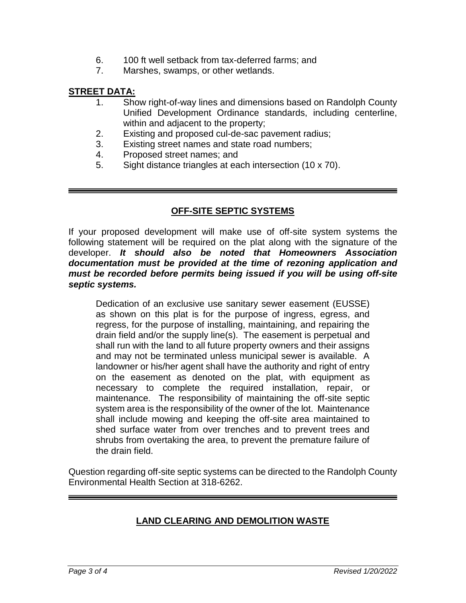- 6. 100 ft well setback from tax-deferred farms; and
- 7. Marshes, swamps, or other wetlands.

#### **STREET DATA:**

- 1. Show right-of-way lines and dimensions based on Randolph County Unified Development Ordinance standards, including centerline, within and adjacent to the property;
- 2. Existing and proposed cul-de-sac pavement radius;
- 3. Existing street names and state road numbers;
- 4. Proposed street names; and
- 5. Sight distance triangles at each intersection (10 x 70).

#### **OFF-SITE SEPTIC SYSTEMS**

If your proposed development will make use of off-site system systems the following statement will be required on the plat along with the signature of the developer. *It should also be noted that Homeowners Association documentation must be provided at the time of rezoning application and must be recorded before permits being issued if you will be using off-site septic systems.*

Dedication of an exclusive use sanitary sewer easement (EUSSE) as shown on this plat is for the purpose of ingress, egress, and regress, for the purpose of installing, maintaining, and repairing the drain field and/or the supply line(s). The easement is perpetual and shall run with the land to all future property owners and their assigns and may not be terminated unless municipal sewer is available. A landowner or his/her agent shall have the authority and right of entry on the easement as denoted on the plat, with equipment as necessary to complete the required installation, repair, or maintenance. The responsibility of maintaining the off-site septic system area is the responsibility of the owner of the lot. Maintenance shall include mowing and keeping the off-site area maintained to shed surface water from over trenches and to prevent trees and shrubs from overtaking the area, to prevent the premature failure of the drain field.

Question regarding off-site septic systems can be directed to the Randolph County Environmental Health Section at 318-6262.

# **LAND CLEARING AND DEMOLITION WASTE**